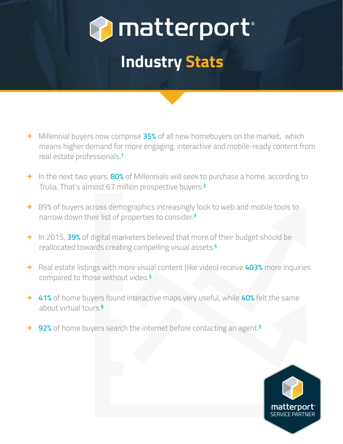

# **Industry Stats**

- → Millennial buyers now comprise 35% of all new homebuyers on the market, which means higher demand for more engaging, interactive and mobile-ready content from real estate professionals.**[1](https://www.nar.realtor/reports/home-buyer-and-seller-generational-trends/)**
- → In the next two years, **80%** of Millennials will seek to purchase a home, according to Trulia. That's almost 67 million prospective buyers.**[2](http://www.marketwatch.com/story/4-real-estate-trends-well-see-in-2016-2015-12-09)**
- → 89% of buyers across demographics increasingly look to web and mobile tools to narrow down their list of properties to consider.**<sup>3</sup>**
- → In 2015, 39% of digital marketers believed that more of their budget should be reallocated towards creating compelling visual assets.**<sup>4</sup>**
- → Real estate listings with more visual content (like video) receive **403%** more inquiries compared to those without video.**<sup>5</sup>**
- **41%** of home buyers found interactive maps very useful, while **40%** felt the same about virtual tours.**<sup>6</sup>**
- **92%** of home buyers search the internet before contacting an agent.**<sup>3</sup>**